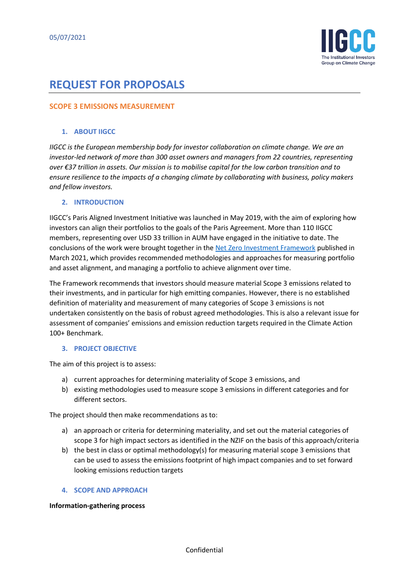

# **REQUEST FOR PROPOSALS**

## **SCOPE 3 EMISSIONS MEASUREMENT**

### **1. ABOUT IIGCC**

*IIGCC is the European membership body for investor collaboration on climate change. We are an investor-led network of more than 300 asset owners and managers from 22 countries, representing over €37 trillion in assets. Our mission is to mobilise capital for the low carbon transition and to ensure resilience to the impacts of a changing climate by collaborating with business, policy makers and fellow investors.*

### **2. INTRODUCTION**

IIGCC's Paris Aligned Investment Initiative was launched in May 2019, with the aim of exploring how investors can align their portfolios to the goals of the Paris Agreement. More than 110 IIGCC members, representing over USD 33 trillion in AUM have engaged in the initiative to date. The conclusions of the work were brought together in th[e Net Zero Investment Framework](https://www.parisalignedinvestment.org/media/2021/03/PAII-Net-Zero-Investment-Framework_Implementation-Guide.pdf) published in March 2021, which provides recommended methodologies and approaches for measuring portfolio and asset alignment, and managing a portfolio to achieve alignment over time.

The Framework recommends that investors should measure material Scope 3 emissions related to their investments, and in particular for high emitting companies. However, there is no established definition of materiality and measurement of many categories of Scope 3 emissions is not undertaken consistently on the basis of robust agreed methodologies. This is also a relevant issue for assessment of companies' emissions and emission reduction targets required in the Climate Action 100+ Benchmark.

### **3. PROJECT OBJECTIVE**

The aim of this project is to assess:

- a) current approaches for determining materiality of Scope 3 emissions, and
- b) existing methodologies used to measure scope 3 emissions in different categories and for different sectors.

The project should then make recommendations as to:

- a) an approach or criteria for determining materiality, and set out the material categories of scope 3 for high impact sectors as identified in the NZIF on the basis of this approach/criteria
- b) the best in class or optimal methodology(s) for measuring material scope 3 emissions that can be used to assess the emissions footprint of high impact companies and to set forward looking emissions reduction targets

### **4. SCOPE AND APPROACH**

#### **Information-gathering process**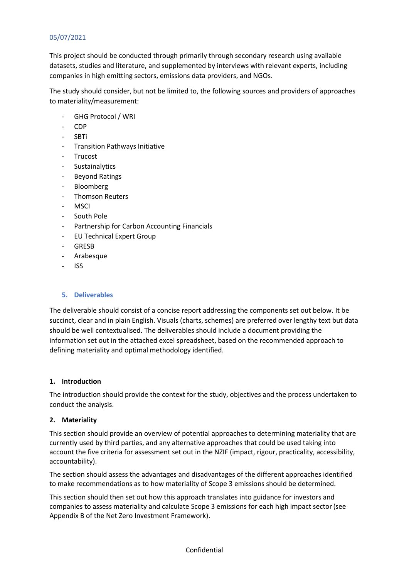# 05/07/2021

This project should be conducted through primarily through secondary research using available datasets, studies and literature, and supplemented by interviews with relevant experts, including companies in high emitting sectors, emissions data providers, and NGOs.

The study should consider, but not be limited to, the following sources and providers of approaches to materiality/measurement:

- GHG Protocol / WRI
- CDP
- SBTi
- Transition Pathways Initiative
- **Trucost**
- **Sustainalytics**
- Beyond Ratings
- Bloomberg
- Thomson Reuters
- **MSCI**
- South Pole
- Partnership for Carbon Accounting Financials
- EU Technical Expert Group
- GRESB
- Arabesque
- ISS

### **5. Deliverables**

The deliverable should consist of a concise report addressing the components set out below. It be succinct, clear and in plain English. Visuals (charts, schemes) are preferred over lengthy text but data should be well contextualised. The deliverables should include a document providing the information set out in the attached excel spreadsheet, based on the recommended approach to defining materiality and optimal methodology identified.

### **1. Introduction**

The introduction should provide the context for the study, objectives and the process undertaken to conduct the analysis.

### **2. Materiality**

This section should provide an overview of potential approaches to determining materiality that are currently used by third parties, and any alternative approaches that could be used taking into account the five criteria for assessment set out in the NZIF (impact, rigour, practicality, accessibility, accountability).

The section should assess the advantages and disadvantages of the different approaches identified to make recommendations as to how materiality of Scope 3 emissions should be determined.

This section should then set out how this approach translates into guidance for investors and companies to assess materiality and calculate Scope 3 emissions for each high impact sector(see Appendix B of the Net Zero Investment Framework).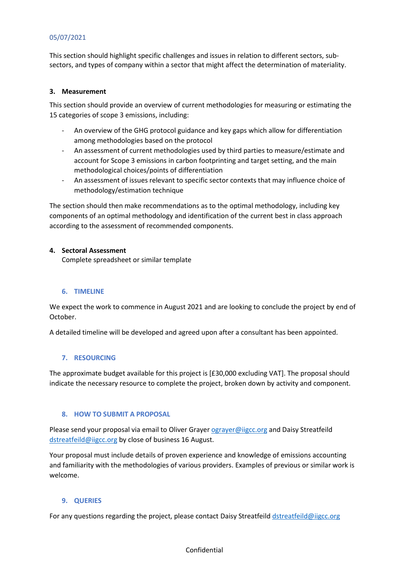## 05/07/2021

This section should highlight specific challenges and issues in relation to different sectors, subsectors, and types of company within a sector that might affect the determination of materiality.

#### **3. Measurement**

This section should provide an overview of current methodologies for measuring or estimating the 15 categories of scope 3 emissions, including:

- An overview of the GHG protocol guidance and key gaps which allow for differentiation among methodologies based on the protocol
- An assessment of current methodologies used by third parties to measure/estimate and account for Scope 3 emissions in carbon footprinting and target setting, and the main methodological choices/points of differentiation
- An assessment of issues relevant to specific sector contexts that may influence choice of methodology/estimation technique

The section should then make recommendations as to the optimal methodology, including key components of an optimal methodology and identification of the current best in class approach according to the assessment of recommended components.

### **4. Sectoral Assessment**

Complete spreadsheet or similar template

#### **6. TIMELINE**

We expect the work to commence in August 2021 and are looking to conclude the project by end of October.

A detailed timeline will be developed and agreed upon after a consultant has been appointed.

### **7. RESOURCING**

The approximate budget available for this project is [£30,000 excluding VAT]. The proposal should indicate the necessary resource to complete the project, broken down by activity and component.

### **8. HOW TO SUBMIT A PROPOSAL**

Please send your proposal via email to Oliver Graye[r ograyer@iigcc.org](mailto:ograyer@iigcc.org) and Daisy Streatfeild [dstreatfeild@iigcc.org](mailto:dstreatfeild@iigcc.org) by close of business 16 August.

Your proposal must include details of proven experience and knowledge of emissions accounting and familiarity with the methodologies of various providers. Examples of previous or similar work is welcome.

#### **9. QUERIES**

For any questions regarding the project, please contact Daisy Streatfeild [dstreatfeild@iigcc.org](mailto:dstreatfeild@iigcc.org)